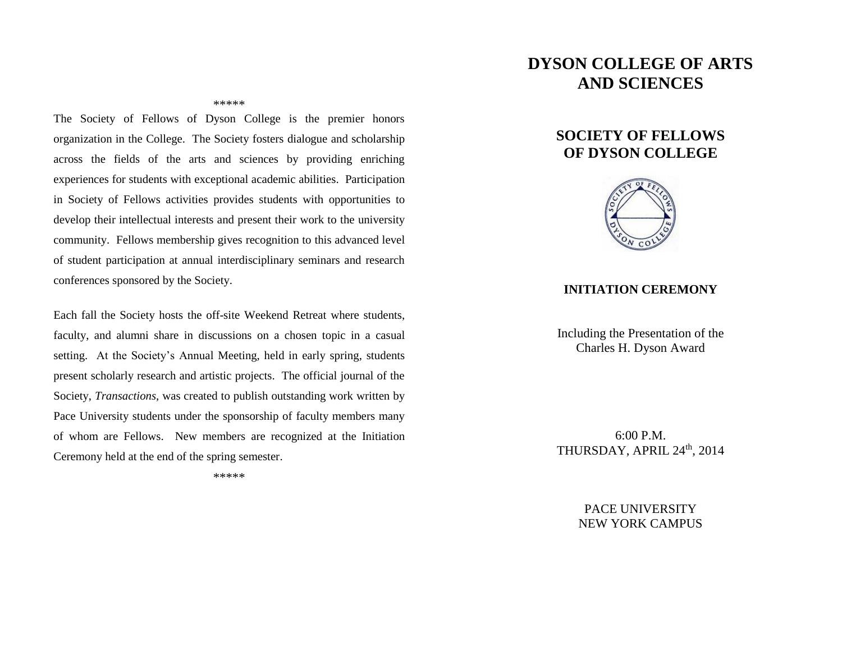# **DYSON COLLEGE OF ARTS AND SCIENCES**

#### \*\*\*\*\*

The Society of Fellows of Dyson College is the premier honors organization in the College. The Society fosters dialogue and scholarship across the fields of the arts and sciences by providing enriching experiences for students with exceptional academic abilities. Participation in Society of Fellows activities provides students with opportunities to develop their intellectual interests and present their work to the university community. Fellows membership gives recognition to this advanced level of student participation at annual interdisciplinary seminars and research conferences sponsored by the Society.

Each fall the Society hosts the off-site Weekend Retreat where students, faculty, and alumni share in discussions on a chosen topic in a casual setting. At the Society's Annual Meeting, held in early spring, students present scholarly research and artistic projects. The official journal of the Society, *Transactions*, was created to publish outstanding work written by Pace University students under the sponsorship of faculty members many of whom are Fellows. New members are recognized at the Initiation Ceremony held at the end of the spring semester.

\*\*\*\*\*

## **SOCIETY OF FELLOWS OF DYSON COLLEGE**



#### **INITIATION CEREMONY**

Including the Presentation of the Charles H. Dyson Award

6:00 P.M. THURSDAY, APRIL 24<sup>th</sup>, 2014

> PACE UNIVERSITY NEW YORK CAMPUS